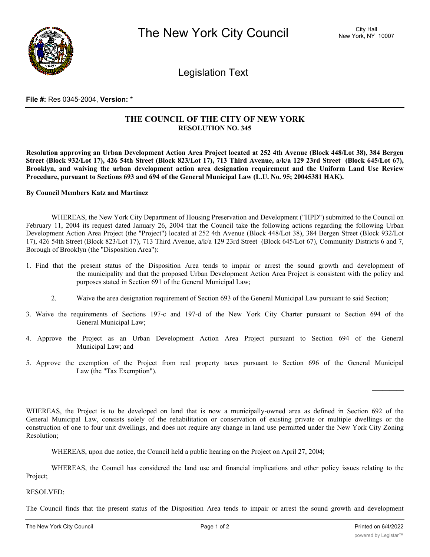

Legislation Text

#### **File #:** Res 0345-2004, **Version:** \*

# **THE COUNCIL OF THE CITY OF NEW YORK RESOLUTION NO. 345**

Resolution approving an Urban Development Action Area Project located at 252 4th Avenue (Block 448/Lot 38), 384 Bergen Street (Block 932/Lot 17), 426 54th Street (Block 823/Lot 17), 713 Third Avenue, a/k/a 129 23rd Street (Block 645/Lot 67), **Brooklyn, and waiving the urban development action area designation requirement and the Uniform Land Use Review Procedure, pursuant to Sections 693 and 694 of the General Municipal Law (L.U. No. 95; 20045381 HAK).**

#### **By Council Members Katz and Martinez**

WHEREAS, the New York City Department of Housing Preservation and Development ("HPD") submitted to the Council on February 11, 2004 its request dated January 26, 2004 that the Council take the following actions regarding the following Urban Development Action Area Project (the "Project") located at 252 4th Avenue (Block 448/Lot 38), 384 Bergen Street (Block 932/Lot 17), 426 54th Street (Block 823/Lot 17), 713 Third Avenue, a/k/a 129 23rd Street (Block 645/Lot 67), Community Districts 6 and 7, Borough of Brooklyn (the "Disposition Area"):

- 1. Find that the present status of the Disposition Area tends to impair or arrest the sound growth and development of the municipality and that the proposed Urban Development Action Area Project is consistent with the policy and purposes stated in Section 691 of the General Municipal Law;
	- 2. Waive the area designation requirement of Section 693 of the General Municipal Law pursuant to said Section;
- 3. Waive the requirements of Sections 197-c and 197-d of the New York City Charter pursuant to Section 694 of the General Municipal Law;
- 4. Approve the Project as an Urban Development Action Area Project pursuant to Section 694 of the General Municipal Law; and
- 5. Approve the exemption of the Project from real property taxes pursuant to Section 696 of the General Municipal Law (the "Tax Exemption").

WHEREAS, the Project is to be developed on land that is now a municipally-owned area as defined in Section 692 of the General Municipal Law, consists solely of the rehabilitation or conservation of existing private or multiple dwellings or the construction of one to four unit dwellings, and does not require any change in land use permitted under the New York City Zoning Resolution;

WHEREAS, upon due notice, the Council held a public hearing on the Project on April 27, 2004;

WHEREAS, the Council has considered the land use and financial implications and other policy issues relating to the Project;

## RESOLVED:

The Council finds that the present status of the Disposition Area tends to impair or arrest the sound growth and development of the City of New York and that a designation of the Project as an urban development action are a policy is consistent with the policy is consistent with the policy is consistent with the policy is consistent with the po

 $\frac{1}{2}$